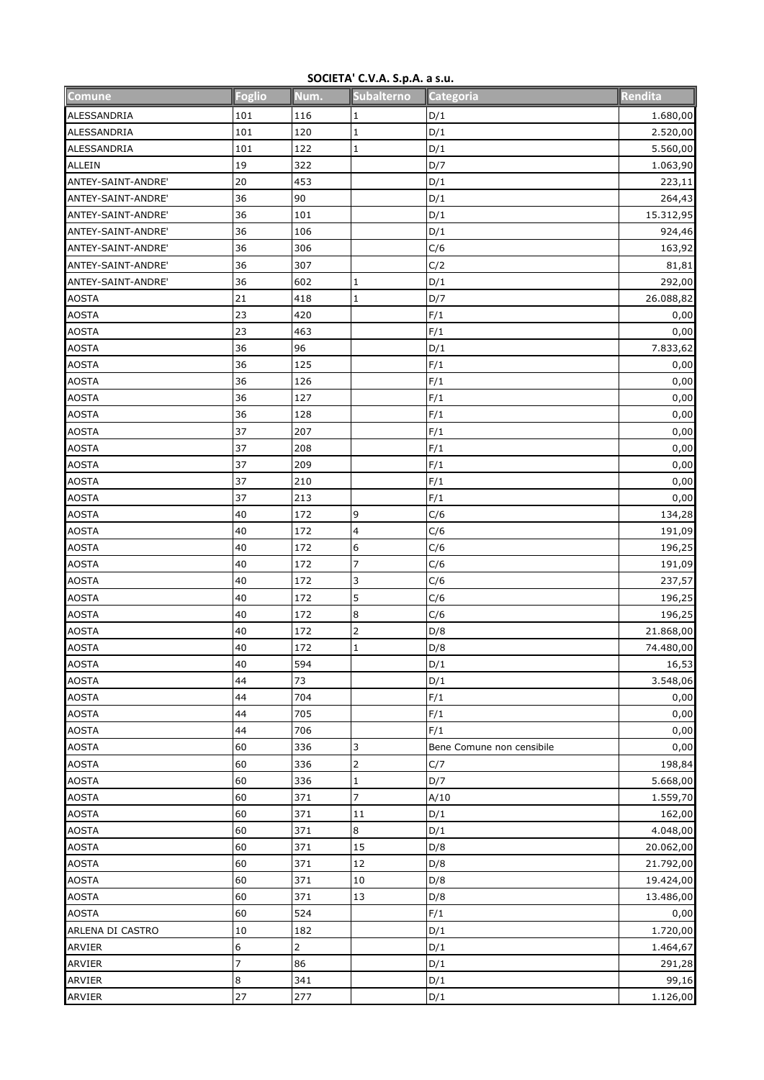## **SOCIETA' C.V.A. S.p.A. a s.u.**

| Comune             | <b>Foglio</b>  | Num.         | Subalterno              | Categoria                 | Rendita   |
|--------------------|----------------|--------------|-------------------------|---------------------------|-----------|
| ALESSANDRIA        | 101            | 116          | 1                       | D/1                       | 1.680,00  |
| <b>ALESSANDRIA</b> | 101            | 120          | $\mathbf{1}$            | D/1                       | 2.520,00  |
| ALESSANDRIA        | 101            | 122          | $\mathbf 1$             | D/1                       | 5.560,00  |
| <b>ALLEIN</b>      | 19             | 322          |                         | D/7                       | 1.063,90  |
| ANTEY-SAINT-ANDRE' | 20             | 453          |                         | D/1                       | 223,11    |
| ANTEY-SAINT-ANDRE' | 36             | 90           |                         | D/1                       | 264,43    |
| ANTEY-SAINT-ANDRE' | 36             | 101          |                         | D/1                       | 15.312,95 |
| ANTEY-SAINT-ANDRE' | 36             | 106          |                         | D/1                       | 924,46    |
| ANTEY-SAINT-ANDRE' | 36             | 306          |                         | C/6                       | 163,92    |
| ANTEY-SAINT-ANDRE' | 36             | 307          |                         | C/2                       | 81,81     |
| ANTEY-SAINT-ANDRE' | 36             | 602          | 1                       | D/1                       | 292,00    |
| <b>AOSTA</b>       | 21             | 418          | $\mathbf 1$             | D/7                       | 26.088,82 |
| <b>AOSTA</b>       | 23             | 420          |                         | F/1                       | 0,00      |
| <b>AOSTA</b>       | 23             | 463          |                         | F/1                       | 0,00      |
| <b>AOSTA</b>       | 36             | 96           |                         | D/1                       | 7.833,62  |
| <b>AOSTA</b>       | 36             | 125          |                         | F/1                       | 0,00      |
| <b>AOSTA</b>       | 36             | 126          |                         | F/1                       | 0,00      |
| <b>AOSTA</b>       | 36             | 127          |                         | F/1                       | 0,00      |
| <b>AOSTA</b>       | 36             | 128          |                         | F/1                       | 0,00      |
| <b>AOSTA</b>       | 37             | 207          |                         | F/1                       | 0,00      |
| <b>AOSTA</b>       | 37             | 208          |                         | F/1                       | 0,00      |
| <b>AOSTA</b>       | 37             | 209          |                         | F/1                       | 0,00      |
| <b>AOSTA</b>       | 37             | 210          |                         | F/1                       | 0,00      |
| <b>AOSTA</b>       | 37             | 213          |                         | F/1                       | 0,00      |
| <b>AOSTA</b>       | 40             | 172          | 9                       | C/6                       | 134,28    |
| <b>AOSTA</b>       | 40             | 172          | $\overline{\mathbf{4}}$ | C/6                       | 191,09    |
| <b>AOSTA</b>       | 40             | 172          | $\boldsymbol{6}$        | C/6                       | 196,25    |
| <b>AOSTA</b>       | 40             | 172          | $\overline{7}$          | C/6                       | 191,09    |
| <b>AOSTA</b>       | 40             | 172          | 3                       | C/6                       | 237,57    |
| <b>AOSTA</b>       | 40             | 172          | 5                       | C/6                       | 196,25    |
| <b>AOSTA</b>       | 40             | 172          | 8                       | C/6                       | 196,25    |
| <b>AOSTA</b>       | 40             | 172          | $\overline{\mathbf{c}}$ | D/8                       | 21.868,00 |
| <b>AOSTA</b>       | 40             | 172          | $\mathbf{1}$            | D/8                       | 74.480,00 |
| <b>AOSTA</b>       | 40             | 594          |                         | D/1                       | 16,53     |
| <b>AOSTA</b>       | 44             | 73           |                         | D/1                       | 3.548,06  |
| <b>AOSTA</b>       | 44             | 704          |                         | F/1                       | 0,00      |
| <b>AOSTA</b>       | 44             | 705          |                         | F/1                       | 0,00      |
| <b>AOSTA</b>       | 44             | 706          |                         | F/1                       | 0,00      |
| <b>AOSTA</b>       | 60             | 336          | 3                       | Bene Comune non censibile | 0,00      |
| <b>AOSTA</b>       | 60             | 336          |                         | C/7                       | 198,84    |
| <b>AOSTA</b>       | 60             | 336          | $\mathbf 1$             | D/7                       | 5.668,00  |
| <b>AOSTA</b>       | 60             | 371          | $\overline{7}$          | A/10                      | 1.559,70  |
| <b>AOSTA</b>       | 60             | 371          | 11                      | D/1                       | 162,00    |
| <b>AOSTA</b>       | 60             | 371          | 8                       | D/1                       | 4.048,00  |
| <b>AOSTA</b>       | 60             | 371          | 15                      | D/8                       | 20.062,00 |
| <b>AOSTA</b>       | 60             | 371          | 12                      | D/8                       | 21.792,00 |
| <b>AOSTA</b>       | 60             | 371          | 10                      | D/8                       | 19.424,00 |
| <b>AOSTA</b>       | 60             | 371          | 13                      | D/8                       | 13.486,00 |
| <b>AOSTA</b>       | 60             | 524          |                         | F/1                       | 0,00      |
| ARLENA DI CASTRO   | $10\,$         | 182          |                         | D/1                       | 1.720,00  |
| <b>ARVIER</b>      | 6              | $\mathbf{2}$ |                         | D/1                       | 1.464,67  |
| ARVIER             | $\overline{7}$ | 86           |                         | D/1                       | 291,28    |
| <b>ARVIER</b>      | $\bf 8$        | 341          |                         | D/1                       | 99,16     |
| ARVIER             | 27             | 277          |                         | D/1                       | 1.126,00  |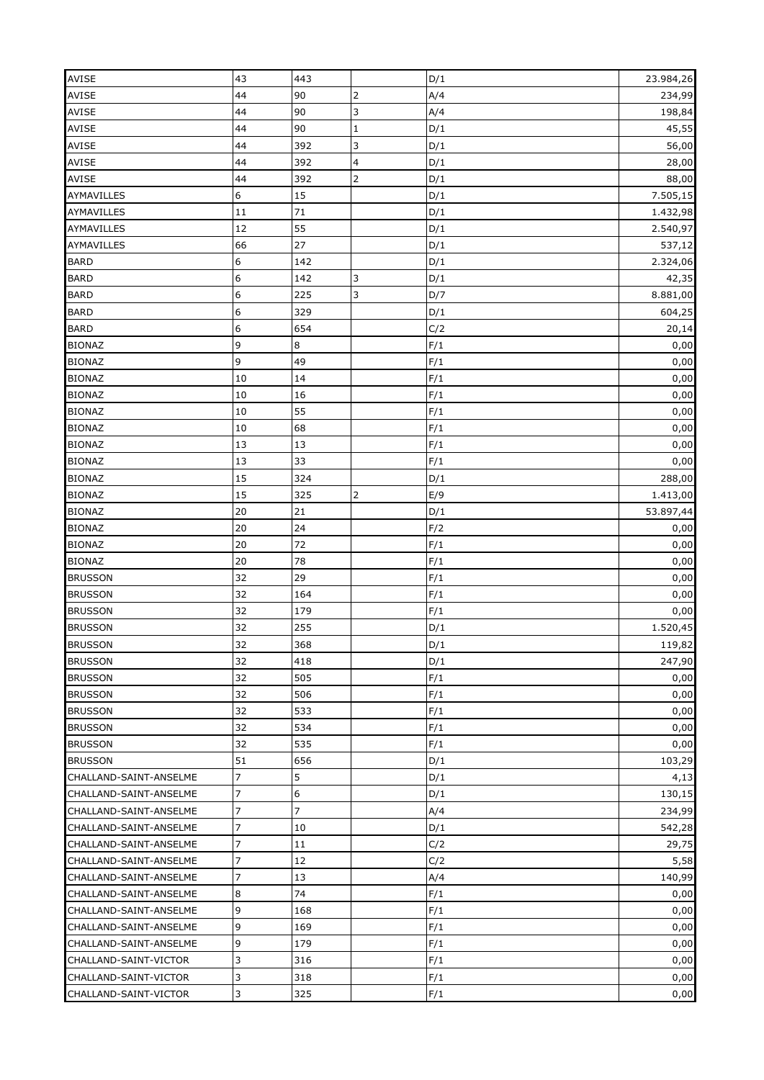| <b>AVISE</b>           | 43               | 443            |                | D/1 | 23.984,26 |
|------------------------|------------------|----------------|----------------|-----|-----------|
| AVISE                  | 44               | 90             | $\overline{2}$ | A/4 | 234,99    |
| <b>AVISE</b>           | 44               | 90             | 3              | A/4 | 198,84    |
| <b>AVISE</b>           | 44               | 90             | $\mathbf{1}$   | D/1 | 45,55     |
| <b>AVISE</b>           | 44               | 392            | 3              | D/1 | 56,00     |
| AVISE                  | 44               | 392            | 4              | D/1 | 28,00     |
| <b>AVISE</b>           | 44               | 392            |                | D/1 | 88,00     |
| <b>AYMAVILLES</b>      | 6                | 15             |                | D/1 | 7.505,15  |
| <b>AYMAVILLES</b>      | 11               | 71             |                | D/1 | 1.432,98  |
| <b>AYMAVILLES</b>      | 12               | 55             |                | D/1 | 2.540,97  |
| <b>AYMAVILLES</b>      | 66               | 27             |                | D/1 | 537,12    |
| <b>BARD</b>            | $\boldsymbol{6}$ | 142            |                | D/1 | 2.324,06  |
| <b>BARD</b>            | $\boldsymbol{6}$ | 142            | 3              | D/1 | 42,35     |
| <b>BARD</b>            | $\boldsymbol{6}$ | 225            | 3              | D/7 | 8.881,00  |
| <b>BARD</b>            | $6\phantom{1}6$  | 329            |                | D/1 | 604,25    |
| <b>BARD</b>            | 6                | 654            |                | C/2 | 20,14     |
| <b>BIONAZ</b>          | 9                | 8              |                | F/1 | 0,00      |
| <b>BIONAZ</b>          | 9                | 49             |                | F/1 | 0,00      |
| <b>BIONAZ</b>          | 10               | 14             |                | F/1 | 0,00      |
| <b>BIONAZ</b>          | 10               | 16             |                | F/1 | 0,00      |
| <b>BIONAZ</b>          | 10               | 55             |                | F/1 | 0,00      |
| <b>BIONAZ</b>          | 10               | 68             |                | F/1 | 0,00      |
| <b>BIONAZ</b>          | 13               | 13             |                | F/1 | 0,00      |
| <b>BIONAZ</b>          | 13               | 33             |                | F/1 | 0,00      |
| <b>BIONAZ</b>          | 15               | 324            |                | D/1 | 288,00    |
| <b>BIONAZ</b>          | 15               | 325            | $\overline{2}$ | E/9 | 1.413,00  |
|                        |                  |                |                |     |           |
| <b>BIONAZ</b>          | 20<br>20         | 21<br>24       |                | D/1 | 53.897,44 |
| <b>BIONAZ</b>          |                  | 72             |                | F/2 | 0,00      |
|                        |                  |                |                |     |           |
| <b>BIONAZ</b>          | 20               |                |                | F/1 | 0,00      |
| <b>BIONAZ</b>          | 20               | 78             |                | F/1 | 0,00      |
| <b>BRUSSON</b>         | 32               | 29             |                | F/1 | 0,00      |
| <b>BRUSSON</b>         | 32               | 164            |                | F/1 | 0,00      |
| <b>BRUSSON</b>         | 32               | 179            |                | F/1 | 0,00      |
| <b>BRUSSON</b>         | 32               | 255            |                | D/1 | 1.520,45  |
| <b>BRUSSON</b>         | 32               | 368            |                | D/1 | 119,82    |
| <b>BRUSSON</b>         | 32               | 418            |                | D/1 | 247,90    |
| <b>BRUSSON</b>         | 32               | 505            |                | F/1 | 0,00      |
| <b>BRUSSON</b>         | 32               | 506            |                | F/1 | 0,00      |
| <b>BRUSSON</b>         | 32               | 533            |                | F/1 | 0,00      |
| <b>BRUSSON</b>         | 32               | 534            |                | F/1 | 0,00      |
| <b>BRUSSON</b>         | 32               | 535            |                | F/1 | 0,00      |
| <b>BRUSSON</b>         | 51               | 656            |                | D/1 | 103,29    |
| CHALLAND-SAINT-ANSELME | $\overline{7}$   | 5              |                | D/1 | 4,13      |
| CHALLAND-SAINT-ANSELME | 7                | 6              |                | D/1 | 130,15    |
| CHALLAND-SAINT-ANSELME | $\overline{7}$   | $\overline{7}$ |                | A/4 | 234,99    |
| CHALLAND-SAINT-ANSELME | $\overline{7}$   | 10             |                | D/1 | 542,28    |
| CHALLAND-SAINT-ANSELME | 7                | 11             |                | C/2 | 29,75     |
| CHALLAND-SAINT-ANSELME | $\overline{7}$   | 12             |                | C/2 | 5,58      |
| CHALLAND-SAINT-ANSELME | $\overline{7}$   | 13             |                | A/4 | 140,99    |
| CHALLAND-SAINT-ANSELME | 8                | 74             |                | F/1 | 0,00      |
| CHALLAND-SAINT-ANSELME | 9                | 168            |                | F/1 | 0,00      |
| CHALLAND-SAINT-ANSELME | 9                | 169            |                | F/1 | 0,00      |
| CHALLAND-SAINT-ANSELME | 9                | 179            |                | F/1 | 0,00      |
| CHALLAND-SAINT-VICTOR  | 3                | 316            |                | F/1 | 0,00      |
| CHALLAND-SAINT-VICTOR  | 3                | 318<br>325     |                | F/1 | 0,00      |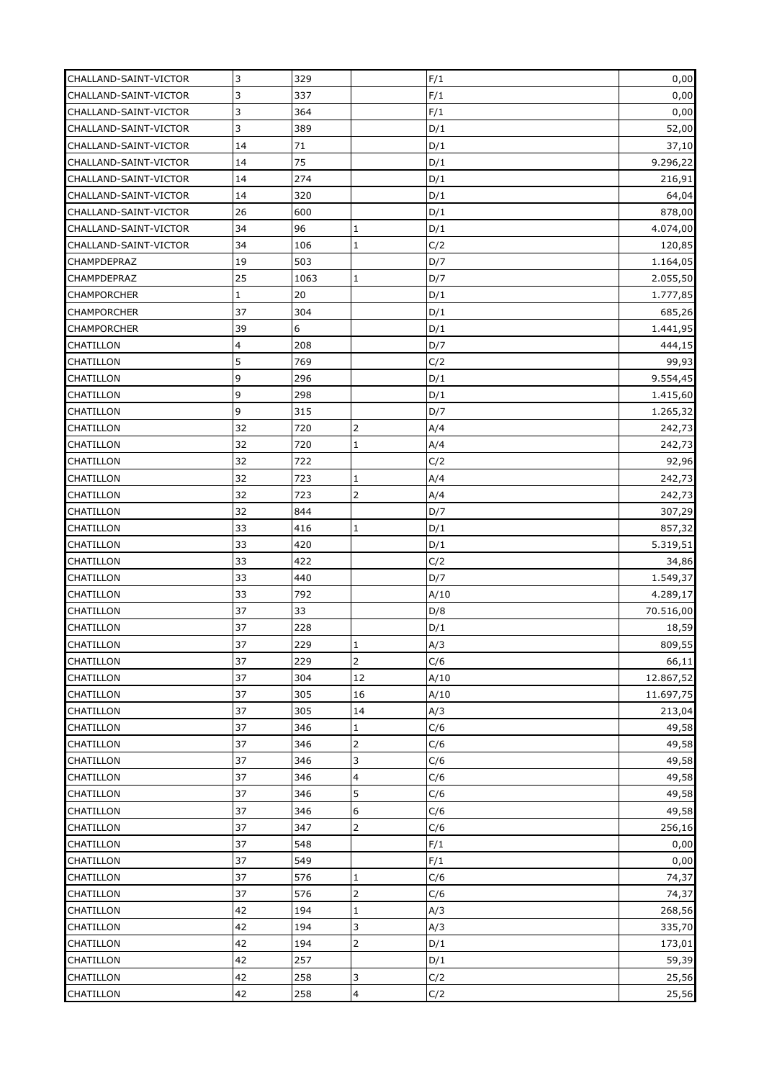| CHALLAND-SAINT-VICTOR | 3            | 329  |                | F/1  | 0,00      |
|-----------------------|--------------|------|----------------|------|-----------|
| CHALLAND-SAINT-VICTOR | 3            | 337  |                | F/1  | 0,00      |
| CHALLAND-SAINT-VICTOR | 3            | 364  |                | F/1  | 0,00      |
| CHALLAND-SAINT-VICTOR | 3            | 389  |                | D/1  | 52,00     |
| CHALLAND-SAINT-VICTOR | 14           | 71   |                | D/1  | 37,10     |
| CHALLAND-SAINT-VICTOR | 14           | 75   |                | D/1  | 9.296,22  |
| CHALLAND-SAINT-VICTOR | 14           | 274  |                | D/1  | 216,91    |
| CHALLAND-SAINT-VICTOR | 14           | 320  |                | D/1  | 64,04     |
| CHALLAND-SAINT-VICTOR | 26           | 600  |                | D/1  | 878,00    |
| CHALLAND-SAINT-VICTOR | 34           | 96   | 1              | D/1  | 4.074,00  |
| CHALLAND-SAINT-VICTOR | 34           | 106  | $\mathbf 1$    | C/2  | 120,85    |
| CHAMPDEPRAZ           | 19           | 503  |                | D/7  | 1.164,05  |
| CHAMPDEPRAZ           | 25           | 1063 | 1              | D/7  | 2.055,50  |
| <b>CHAMPORCHER</b>    | $\mathbf{1}$ | 20   |                | D/1  | 1.777,85  |
| <b>CHAMPORCHER</b>    | 37           | 304  |                | D/1  | 685,26    |
| <b>CHAMPORCHER</b>    | 39           | 6    |                |      |           |
|                       | 4            | 208  |                | D/1  | 1.441,95  |
| <b>CHATILLON</b>      |              |      |                | D/7  | 444,15    |
| <b>CHATILLON</b>      | 5            | 769  |                | C/2  | 99,93     |
| <b>CHATILLON</b>      | 9            | 296  |                | D/1  | 9.554,45  |
| <b>CHATILLON</b>      | 9            | 298  |                | D/1  | 1.415,60  |
| <b>CHATILLON</b>      | 9            | 315  |                | D/7  | 1.265,32  |
| <b>CHATILLON</b>      | 32           | 720  | 2              | A/4  | 242,73    |
| CHATILLON             | 32           | 720  | $\mathbf 1$    | A/4  | 242,73    |
| <b>CHATILLON</b>      | 32           | 722  |                | C/2  | 92,96     |
| CHATILLON             | 32           | 723  | $\mathbf{1}$   | A/4  | 242,73    |
| CHATILLON             | 32           | 723  | $\overline{2}$ | A/4  | 242,73    |
| <b>CHATILLON</b>      | 32           | 844  |                | D/7  | 307,29    |
| <b>CHATILLON</b>      | 33           | 416  | $\mathbf{1}$   | D/1  | 857,32    |
| <b>CHATILLON</b>      | 33           | 420  |                | D/1  | 5.319,51  |
| <b>CHATILLON</b>      | 33           | 422  |                | C/2  | 34,86     |
| <b>CHATILLON</b>      | 33           | 440  |                | D/7  | 1.549,37  |
| CHATILLON             | 33           | 792  |                | A/10 | 4.289,17  |
| <b>CHATILLON</b>      | 37           | 33   |                | D/8  | 70.516,00 |
| <b>CHATILLON</b>      | 37           | 228  |                | D/1  | 18,59     |
| CHATILLON             | 37           | 229  | Ŧ              | A/3  | 809,55    |
| <b>CHATILLON</b>      | 37           | 229  | $\mathbf 2$    | C/6  | 66,11     |
| <b>CHATILLON</b>      | 37           | 304  | 12             | A/10 | 12.867,52 |
| <b>CHATILLON</b>      | 37           | 305  | 16             | A/10 | 11.697,75 |
| <b>CHATILLON</b>      | 37           | 305  | 14             | A/3  | 213,04    |
| <b>CHATILLON</b>      | 37           | 346  | $\mathbf 1$    | C/6  | 49,58     |
| <b>CHATILLON</b>      | 37           | 346  | $\overline{2}$ | C/6  | 49,58     |
| <b>CHATILLON</b>      | 37           | 346  | 3              | C/6  | 49,58     |
| CHATILLON             | 37           | 346  | 4              | C/6  | 49,58     |
| CHATILLON             | 37           | 346  | 5              | C/6  | 49,58     |
| <b>CHATILLON</b>      | 37           | 346  | 6              | C/6  | 49,58     |
| <b>CHATILLON</b>      | 37           | 347  |                | C/6  | 256,16    |
| <b>CHATILLON</b>      | 37           | 548  |                | F/1  | 0,00      |
| <b>CHATILLON</b>      | 37           | 549  |                | F/1  | 0,00      |
| CHATILLON             | 37           | 576  | $\mathbf{1}$   | C/6  | 74,37     |
| <b>CHATILLON</b>      | 37           | 576  |                | C/6  | 74,37     |
| CHATILLON             | 42           | 194  | $\mathbf 1$    | A/3  | 268,56    |
| <b>CHATILLON</b>      | 42           | 194  | 3              | A/3  | 335,70    |
| <b>CHATILLON</b>      | 42           | 194  |                | D/1  | 173,01    |
| <b>CHATILLON</b>      | 42           | 257  |                | D/1  | 59,39     |
| <b>CHATILLON</b>      | 42           | 258  | 3              | C/2  | 25,56     |
| CHATILLON             | 42           | 258  | 4              | C/2  | 25,56     |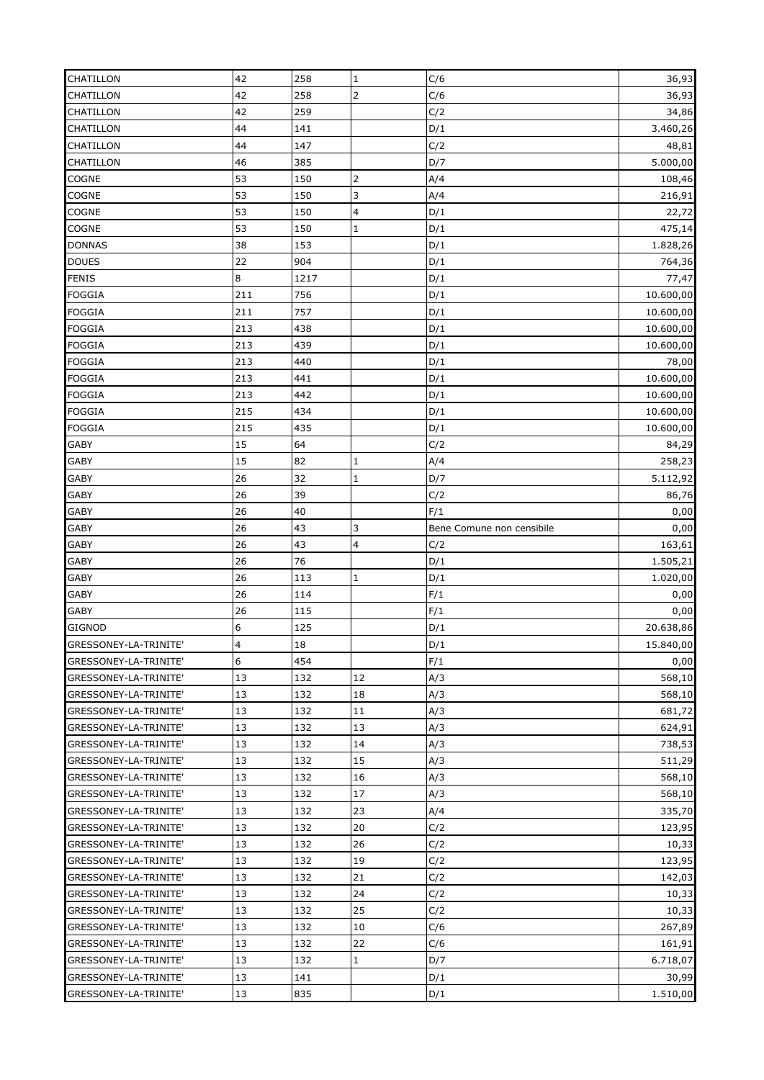| <b>CHATILLON</b>                               | 42       | 258        | $\mathbf{1}$            | C/6                       | 36,93             |
|------------------------------------------------|----------|------------|-------------------------|---------------------------|-------------------|
| <b>CHATILLON</b>                               | 42       | 258        |                         | C/6                       | 36,93             |
| <b>CHATILLON</b>                               | 42       | 259        |                         | C/2                       | 34,86             |
| <b>CHATILLON</b>                               | 44       | 141        |                         | D/1                       | 3.460,26          |
| <b>CHATILLON</b>                               | 44       | 147        |                         | C/2                       | 48,81             |
| CHATILLON                                      | 46       | 385        |                         | D/7                       | 5.000,00          |
| COGNE                                          | 53       | 150        | 2                       | A/4                       | 108,46            |
| <b>COGNE</b>                                   | 53       | 150        | 3                       | A/4                       | 216,91            |
| <b>COGNE</b>                                   | 53       | 150        | $\overline{\mathbf{4}}$ | D/1                       | 22,72             |
| <b>COGNE</b>                                   | 53       | 150        | $\mathbf 1$             | D/1                       | 475,14            |
| <b>DONNAS</b>                                  | 38       | 153        |                         | D/1                       | 1.828,26          |
| <b>DOUES</b>                                   | 22       | 904        |                         | D/1                       | 764,36            |
| <b>FENIS</b>                                   | 8        | 1217       |                         | D/1                       | 77,47             |
| <b>FOGGIA</b>                                  | 211      | 756        |                         | D/1                       | 10.600,00         |
| <b>FOGGIA</b>                                  | 211      | 757        |                         | D/1                       | 10.600,00         |
| <b>FOGGIA</b>                                  | 213      | 438        |                         | D/1                       | 10.600,00         |
| <b>FOGGIA</b>                                  | 213      | 439        |                         | D/1                       | 10.600,00         |
| <b>FOGGIA</b>                                  | 213      | 440        |                         | D/1                       | 78,00             |
| <b>FOGGIA</b>                                  | 213      | 441        |                         | D/1                       | 10.600,00         |
| <b>FOGGIA</b>                                  | 213      | 442        |                         | D/1                       | 10.600,00         |
| <b>FOGGIA</b>                                  | 215      | 434        |                         | D/1                       | 10.600,00         |
| <b>FOGGIA</b>                                  | 215      | 435        |                         | D/1                       | 10.600,00         |
| <b>GABY</b>                                    | 15       | 64         |                         | C/2                       | 84,29             |
|                                                | 15       | 82         | $\mathbf 1$             | A/4                       |                   |
| <b>GABY</b><br><b>GABY</b>                     | 26       | 32         | $\mathbf{1}$            | D/7                       | 258,23            |
| <b>GABY</b>                                    | 26       | 39         |                         | C/2                       | 5.112,92<br>86,76 |
| <b>GABY</b>                                    | 26       | 40         |                         | F/1                       |                   |
| <b>GABY</b>                                    | 26       | 43         | 3                       | Bene Comune non censibile | 0,00<br>0,00      |
|                                                |          |            |                         |                           |                   |
| <b>GABY</b>                                    | 26       | 43<br>76   | $\overline{\mathbf{4}}$ | C/2                       | 163,61            |
| <b>GABY</b>                                    | 26       |            |                         | D/1                       | 1.505,21          |
| <b>GABY</b>                                    | 26       | 113        | $\mathbf{1}$            | D/1                       | 1.020,00          |
| <b>GABY</b>                                    | 26       | 114        |                         | F/1                       | 0,00              |
| <b>GABY</b>                                    | 26       | 115        |                         | F/1                       | 0,00              |
| <b>GIGNOD</b>                                  | 6        | 125        |                         | D/1                       | 20.638,86         |
| GRESSONEY-LA-TRINITE'                          | 4        | 18         |                         | D/1                       | 15.840,00         |
| GRESSONEY-LA-TRINITE'                          | 6        | 454        |                         | F/1                       | 0,00              |
| GRESSONEY-LA-TRINITE'                          | 13       | 132        | 12                      | A/3                       | 568,10            |
| GRESSONEY-LA-TRINITE'                          | 13       | 132        | 18                      | A/3                       | 568,10            |
| GRESSONEY-LA-TRINITE'                          | 13       | 132        | 11                      | A/3                       | 681,72            |
| GRESSONEY-LA-TRINITE'                          | 13       | 132        | 13                      | A/3                       | 624,91            |
| GRESSONEY-LA-TRINITE'                          | 13       | 132        | 14                      | A/3                       | 738,53            |
| GRESSONEY-LA-TRINITE'                          | 13       | 132        | 15                      | A/3                       | 511,29            |
| GRESSONEY-LA-TRINITE'                          | 13       | 132        | 16                      | A/3                       | 568,10            |
| GRESSONEY-LA-TRINITE'                          | 13       | 132        | 17                      | A/3                       | 568,10            |
| GRESSONEY-LA-TRINITE'                          | 13       | 132        | 23                      | A/4                       | 335,70            |
| GRESSONEY-LA-TRINITE'                          | 13       | 132        | 20                      | C/2                       | 123,95            |
| GRESSONEY-LA-TRINITE'                          | 13       | 132        | 26                      | C/2                       | 10,33             |
| GRESSONEY-LA-TRINITE'                          | 13       | 132        | 19                      | C/2                       | 123,95            |
| GRESSONEY-LA-TRINITE'                          | 13       | 132        | 21                      | C/2                       | 142,03            |
| GRESSONEY-LA-TRINITE'                          | 13       | 132        | 24                      | C/2                       | 10,33             |
| GRESSONEY-LA-TRINITE'                          | 13       | 132        | 25                      | C/2                       | 10,33             |
| GRESSONEY-LA-TRINITE'                          |          |            |                         |                           |                   |
|                                                | 13       | 132        | 10                      | C/6                       | 267,89            |
| GRESSONEY-LA-TRINITE'                          | 13       | 132        | 22                      | C/6                       | 161,91            |
| GRESSONEY-LA-TRINITE'                          | 13       | 132        | $\mathbf{1}$            | D/7                       | 6.718,07          |
| GRESSONEY-LA-TRINITE'<br>GRESSONEY-LA-TRINITE' | 13<br>13 | 141<br>835 |                         | D/1<br>D/1                | 30,99<br>1.510,00 |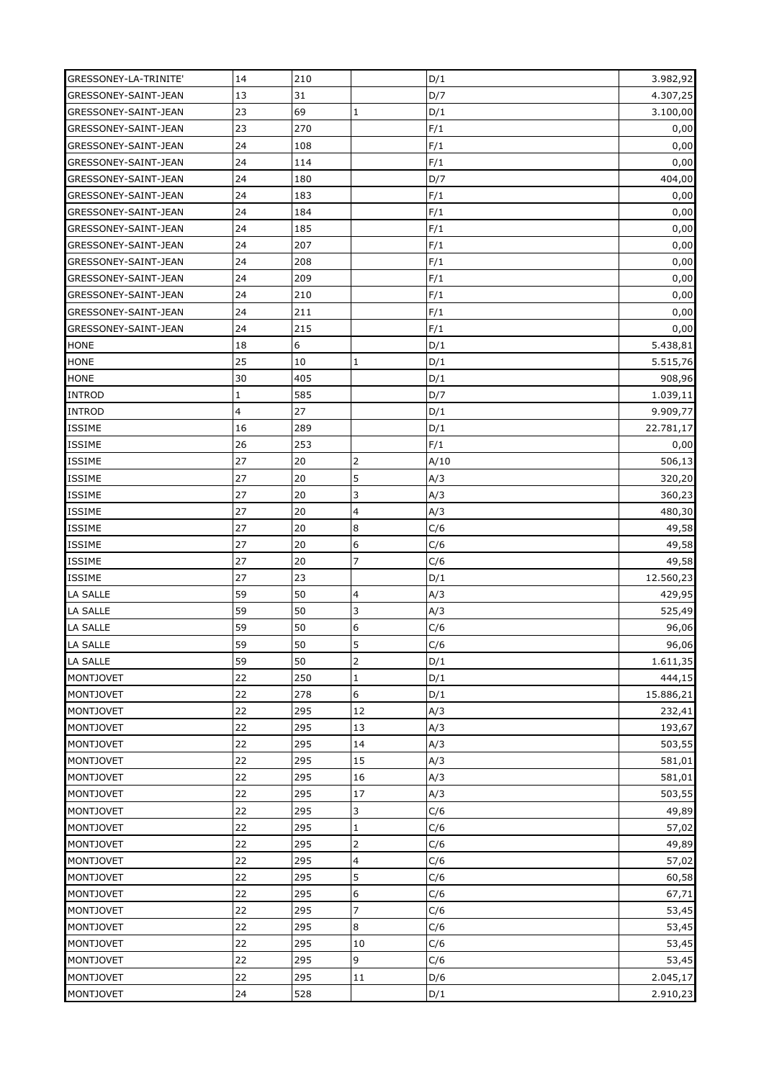| GRESSONEY-LA-TRINITE'      | 14          | 210 |                  | D/1  | 3.982,92  |
|----------------------------|-------------|-----|------------------|------|-----------|
| GRESSONEY-SAINT-JEAN       | 13          | 31  |                  | D/7  | 4.307,25  |
| GRESSONEY-SAINT-JEAN       | 23          | 69  | $\mathbf{1}$     | D/1  | 3.100,00  |
| GRESSONEY-SAINT-JEAN       | 23          | 270 |                  | F/1  | 0,00      |
| GRESSONEY-SAINT-JEAN       | 24          | 108 |                  | F/1  | 0,00      |
| GRESSONEY-SAINT-JEAN       | 24          | 114 |                  | F/1  | 0,00      |
| GRESSONEY-SAINT-JEAN       | 24          | 180 |                  | D/7  | 404,00    |
| GRESSONEY-SAINT-JEAN       | 24          | 183 |                  | F/1  | 0,00      |
| GRESSONEY-SAINT-JEAN       | 24          | 184 |                  | F/1  | 0,00      |
| GRESSONEY-SAINT-JEAN       | 24          | 185 |                  | F/1  | 0,00      |
| GRESSONEY-SAINT-JEAN       | 24          | 207 |                  | F/1  | 0,00      |
| GRESSONEY-SAINT-JEAN       | 24          | 208 |                  | F/1  | 0,00      |
| GRESSONEY-SAINT-JEAN       | 24          | 209 |                  | F/1  | 0,00      |
| GRESSONEY-SAINT-JEAN       | 24          | 210 |                  | F/1  | 0,00      |
| GRESSONEY-SAINT-JEAN       | 24          | 211 |                  | F/1  | 0,00      |
| GRESSONEY-SAINT-JEAN       | 24          | 215 |                  | F/1  | 0,00      |
|                            | 18          | 6   |                  | D/1  | 5.438,81  |
| <b>HONE</b><br><b>HONE</b> | 25          | 10  |                  | D/1  |           |
|                            |             |     | $\mathbf 1$      |      | 5.515,76  |
| <b>HONE</b>                | 30          | 405 |                  | D/1  | 908,96    |
| <b>INTROD</b>              | $\mathbf 1$ | 585 |                  | D/7  | 1.039,11  |
| <b>INTROD</b>              | 4           | 27  |                  | D/1  | 9.909,77  |
| ISSIME                     | 16          | 289 |                  | D/1  | 22.781,17 |
| ISSIME                     | 26          | 253 |                  | F/1  | 0,00      |
| ISSIME                     | 27          | 20  | 2                | A/10 | 506,13    |
| ISSIME                     | 27          | 20  | 5                | A/3  | 320,20    |
| <b>ISSIME</b>              | 27          | 20  | 3                | A/3  | 360,23    |
| <b>ISSIME</b>              | 27          | 20  | 4                | A/3  | 480,30    |
| <b>ISSIME</b>              | 27          | 20  | 8                | C/6  | 49,58     |
| <b>ISSIME</b>              | 27          | 20  | 6                | C/6  | 49,58     |
| <b>ISSIME</b>              | 27          | 20  | $\overline{7}$   | C/6  | 49,58     |
| <b>ISSIME</b>              | 27          | 23  |                  | D/1  | 12.560,23 |
| LA SALLE                   | 59          | 50  | 4                | A/3  | 429,95    |
| <b>LA SALLE</b>            | 59          | 50  | 3                | A/3  | 525,49    |
| <b>LA SALLE</b>            | 59          | 50  | 6                | C/6  | 96,06     |
| LA SALLE                   | 59          | 50  | 5                | C/6  | 96,06     |
| LA SALLE                   | 59          | 50  | $\overline{2}$   | D/1  | 1.611,35  |
| <b>MONTJOVET</b>           | 22          | 250 | $\mathbf 1$      | D/1  | 444,15    |
| <b>MONTJOVET</b>           | 22          | 278 | $\boldsymbol{6}$ | D/1  | 15.886,21 |
| <b>MONTJOVET</b>           | 22          | 295 | 12               | A/3  | 232,41    |
| <b>MONTJOVET</b>           | 22          | 295 | 13               | A/3  | 193,67    |
| <b>MONTJOVET</b>           | 22          | 295 | 14               | A/3  | 503,55    |
| <b>MONTJOVET</b>           | 22          | 295 | 15               | A/3  | 581,01    |
| <b>MONTJOVET</b>           | 22          | 295 | 16               | A/3  | 581,01    |
| <b>MONTJOVET</b>           | 22          | 295 | $17\,$           | A/3  | 503,55    |
| <b>MONTJOVET</b>           | 22          | 295 | 3                | C/6  | 49,89     |
| <b>MONTJOVET</b>           | 22          | 295 | $\mathbf 1$      | C/6  | 57,02     |
| <b>MONTJOVET</b>           | 22          | 295 | $\overline{2}$   | C/6  | 49,89     |
| <b>MONTJOVET</b>           | 22          | 295 | 4                | C/6  | 57,02     |
| <b>MONTJOVET</b>           | 22          | 295 | 5                | C/6  | 60,58     |
| <b>MONTJOVET</b>           | 22          | 295 | 6                | C/6  | 67,71     |
| <b>MONTJOVET</b>           | 22          | 295 | $\overline{7}$   | C/6  | 53,45     |
| <b>MONTJOVET</b>           | 22          | 295 | 8                | C/6  | 53,45     |
| <b>MONTJOVET</b>           | 22          | 295 | 10               | C/6  | 53,45     |
| <b>MONTJOVET</b>           | 22          | 295 | 9                | C/6  | 53,45     |
| <b>MONTJOVET</b>           | 22          | 295 | $11\,$           | D/6  | 2.045,17  |
| <b>MONTJOVET</b>           | 24          | 528 |                  | D/1  | 2.910,23  |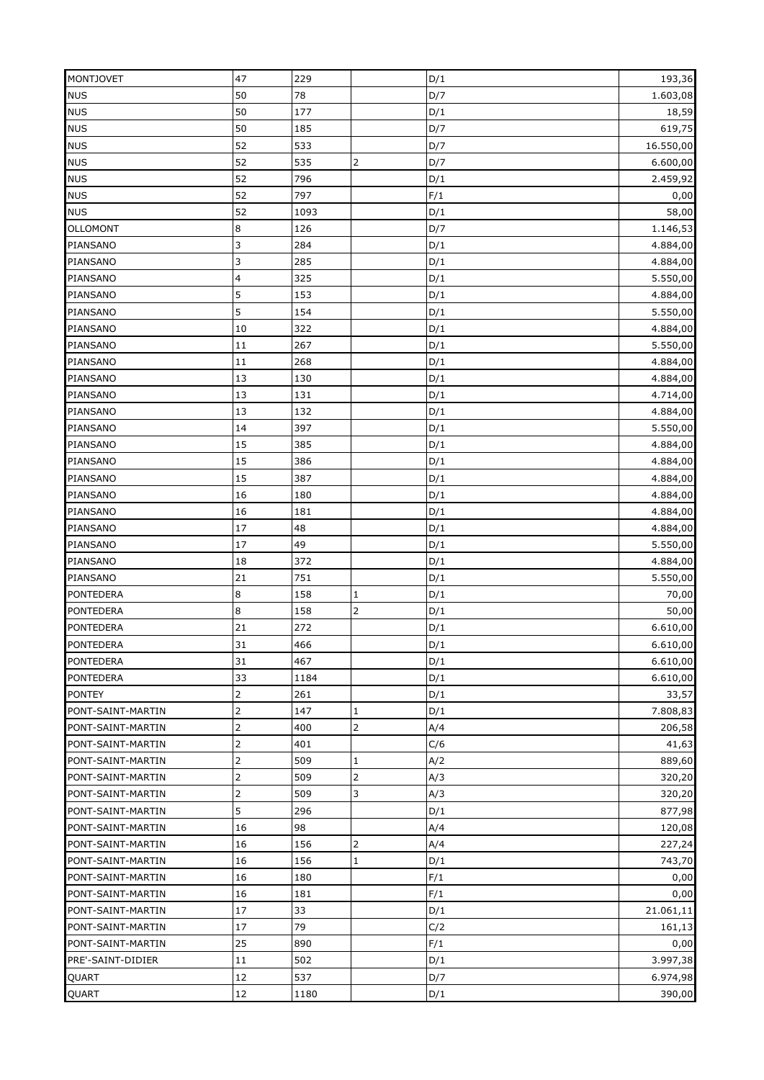| <b>MONTJOVET</b>  | 47             | 229  |                | D/1        | 193,36    |
|-------------------|----------------|------|----------------|------------|-----------|
| <b>NUS</b>        | 50             | 78   |                | D/7        | 1.603,08  |
| <b>NUS</b>        | 50             | 177  |                | D/1        | 18,59     |
| <b>NUS</b>        | 50             | 185  |                | D/7        | 619,75    |
| <b>NUS</b>        | 52             | 533  |                | D/7        | 16.550,00 |
| <b>NUS</b>        | 52             | 535  | $\overline{2}$ | D/7        | 6.600,00  |
| <b>NUS</b>        | 52             | 796  |                | D/1        | 2.459,92  |
| <b>NUS</b>        | 52             | 797  |                | F/1        | 0,00      |
| <b>NUS</b>        | 52             | 1093 |                | D/1        | 58,00     |
| <b>OLLOMONT</b>   | 8              | 126  |                | D/7        | 1.146,53  |
| PIANSANO          | 3              | 284  |                | D/1        | 4.884,00  |
| PIANSANO          | 3              | 285  |                | D/1        | 4.884,00  |
| PIANSANO          | 4              | 325  |                | D/1        | 5.550,00  |
| PIANSANO          | 5              | 153  |                | D/1        | 4.884,00  |
| PIANSANO          | 5              | 154  |                | D/1        | 5.550,00  |
| PIANSANO          | 10             | 322  |                | D/1        | 4.884,00  |
|                   | 11             | 267  |                |            | 5.550,00  |
| PIANSANO          |                | 268  |                | D/1<br>D/1 |           |
| PIANSANO          | $11\,$         |      |                |            | 4.884,00  |
| PIANSANO          | 13             | 130  |                | D/1        | 4.884,00  |
| PIANSANO          | 13             | 131  |                | D/1        | 4.714,00  |
| PIANSANO          | 13             | 132  |                | D/1        | 4.884,00  |
| PIANSANO          | 14             | 397  |                | D/1        | 5.550,00  |
| PIANSANO          | 15             | 385  |                | D/1        | 4.884,00  |
| PIANSANO          | 15             | 386  |                | D/1        | 4.884,00  |
| PIANSANO          | 15             | 387  |                | D/1        | 4.884,00  |
| PIANSANO          | 16             | 180  |                | D/1        | 4.884,00  |
| PIANSANO          | 16             | 181  |                | D/1        | 4.884,00  |
| PIANSANO          | 17             | 48   |                | D/1        | 4.884,00  |
| PIANSANO          | 17             | 49   |                | D/1        | 5.550,00  |
| PIANSANO          | 18             | 372  |                | D/1        | 4.884,00  |
| PIANSANO          | 21             | 751  |                | D/1        | 5.550,00  |
| <b>PONTEDERA</b>  | 8              | 158  | $\mathbf 1$    | D/1        | 70,00     |
| <b>PONTEDERA</b>  | $\bf8$         | 158  | $\overline{2}$ | D/1        | 50,00     |
| <b>PONTEDERA</b>  | 21             | 272  |                | D/1        | 6.610,00  |
| <b>PONTEDERA</b>  | 31             | 466  |                | D/1        | 6.610,00  |
| <b>PONTEDERA</b>  | 31             | 467  |                | D/1        | 6.610,00  |
| <b>PONTEDERA</b>  | 33             | 1184 |                | D/1        | 6.610,00  |
| <b>PONTEY</b>     | $\overline{2}$ | 261  |                | D/1        | 33,57     |
| PONT-SAINT-MARTIN | $\overline{2}$ | 147  | 1              | D/1        | 7.808,83  |
| PONT-SAINT-MARTIN | $\overline{2}$ | 400  | $\overline{2}$ | A/4        | 206,58    |
| PONT-SAINT-MARTIN | $\overline{2}$ | 401  |                | C/6        | 41,63     |
| PONT-SAINT-MARTIN | $\overline{2}$ | 509  | 1              | A/2        | 889,60    |
| PONT-SAINT-MARTIN |                | 509  | $\overline{2}$ | A/3        | 320,20    |
| PONT-SAINT-MARTIN | 2              | 509  | 3              | A/3        | 320,20    |
| PONT-SAINT-MARTIN | 5              | 296  |                | D/1        | 877,98    |
| PONT-SAINT-MARTIN | 16             | 98   |                | A/4        | 120,08    |
| PONT-SAINT-MARTIN | 16             | 156  | $\overline{2}$ | A/4        | 227,24    |
| PONT-SAINT-MARTIN | 16             | 156  | $\mathbf{1}$   | D/1        | 743,70    |
| PONT-SAINT-MARTIN | 16             | 180  |                | F/1        | 0,00      |
| PONT-SAINT-MARTIN | 16             | 181  |                | F/1        | 0,00      |
| PONT-SAINT-MARTIN | 17             | 33   |                | D/1        | 21.061,11 |
| PONT-SAINT-MARTIN | 17             | 79   |                | C/2        | 161,13    |
| PONT-SAINT-MARTIN | 25             | 890  |                | F/1        | 0,00      |
| PRE'-SAINT-DIDIER | 11             | 502  |                | D/1        | 3.997,38  |
| QUART             | 12             | 537  |                | D/7        | 6.974,98  |
| QUART             | 12             | 1180 |                | D/1        | 390,00    |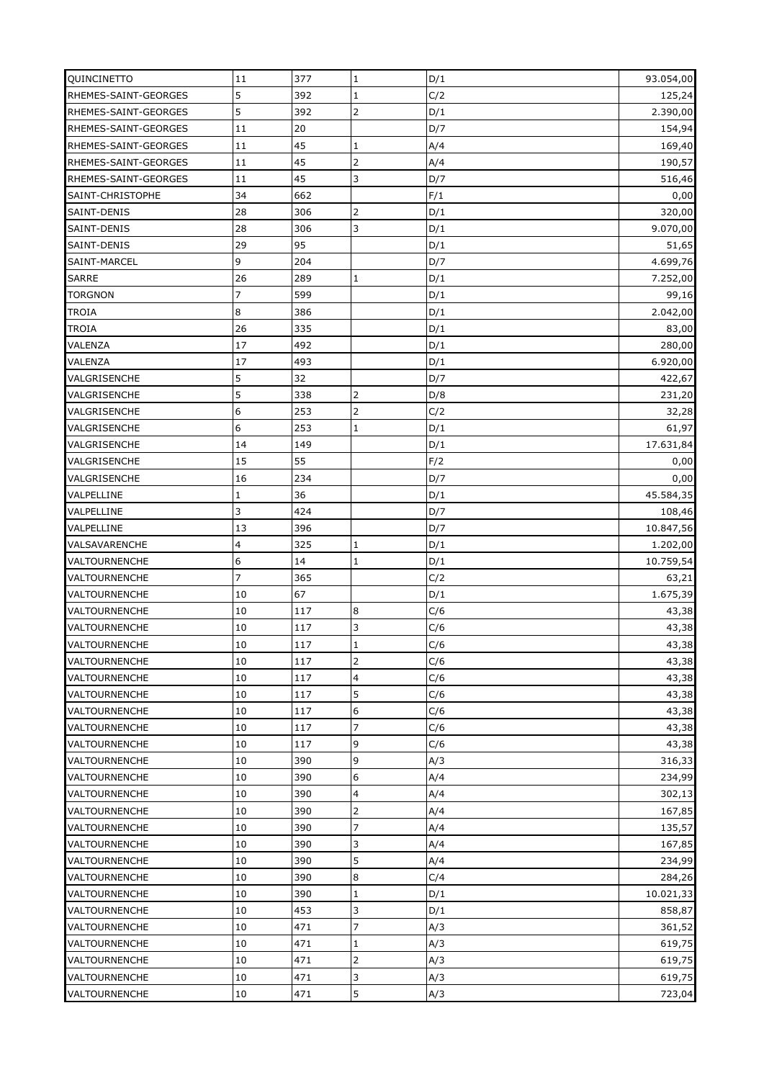| QUINCINETTO                                  | 11               | 377 | $\mathbf{1}$          | D/1        | 93.054,00             |
|----------------------------------------------|------------------|-----|-----------------------|------------|-----------------------|
| RHEMES-SAINT-GEORGES                         | 5                | 392 | $\mathbf 1$           | C/2        | 125,24                |
| RHEMES-SAINT-GEORGES                         | 5                | 392 | $\overline{2}$        | D/1        | 2.390,00              |
| RHEMES-SAINT-GEORGES                         | 11               | 20  |                       | D/7        | 154,94                |
| RHEMES-SAINT-GEORGES                         | 11               | 45  | $\mathbf 1$           | A/4        | 169,40                |
| RHEMES-SAINT-GEORGES                         | 11               | 45  | $\overline{2}$        | A/4        | 190,57                |
| RHEMES-SAINT-GEORGES                         | 11               | 45  | 3                     | D/7        | 516,46                |
| SAINT-CHRISTOPHE                             | 34               | 662 |                       | F/1        | 0,00                  |
| SAINT-DENIS                                  | 28               | 306 | $\overline{2}$        | D/1        | 320,00                |
| SAINT-DENIS                                  | 28               | 306 | 3                     | D/1        | 9.070,00              |
| SAINT-DENIS                                  | 29               | 95  |                       | D/1        | 51,65                 |
| SAINT-MARCEL                                 | 9                | 204 |                       | D/7        | 4.699,76              |
| <b>SARRE</b>                                 | 26               | 289 | $\mathbf{1}$          | D/1        | 7.252,00              |
| <b>TORGNON</b>                               | $\overline{7}$   | 599 |                       | D/1        | 99,16                 |
| <b>TROIA</b>                                 | 8                | 386 |                       | D/1        | 2.042,00              |
| <b>TROIA</b>                                 | 26               | 335 |                       | D/1        | 83,00                 |
| VALENZA                                      | 17               | 492 |                       | D/1        | 280,00                |
| VALENZA                                      | 17               | 493 |                       | D/1        | 6.920,00              |
| VALGRISENCHE                                 | 5                | 32  |                       | D/7        | 422,67                |
| VALGRISENCHE                                 | 5                | 338 | $\overline{2}$        | D/8        | 231,20                |
| VALGRISENCHE                                 | $\boldsymbol{6}$ | 253 | $\overline{2}$        | C/2        | 32,28                 |
| VALGRISENCHE                                 | 6                | 253 | $\mathbf{1}$          | D/1        | 61,97                 |
| VALGRISENCHE                                 | 14               | 149 |                       | D/1        | 17.631,84             |
| VALGRISENCHE                                 | 15               | 55  |                       | F/2        | 0,00                  |
| VALGRISENCHE                                 | 16               | 234 |                       | D/7        | 0,00                  |
| VALPELLINE                                   | $\mathbf 1$      | 36  |                       | D/1        | 45.584,35             |
| VALPELLINE                                   | 3                | 424 |                       | D/7        |                       |
| VALPELLINE                                   | 13               | 396 |                       | D/7        | 108,46<br>10.847,56   |
|                                              | 4                | 325 | $\mathbf 1$           |            |                       |
| VALSAVARENCHE<br>VALTOURNENCHE               | 6                | 14  | $\mathbf 1$           | D/1<br>D/1 | 1.202,00<br>10.759,54 |
|                                              | 7                | 365 |                       |            |                       |
| <b>VALTOURNENCHE</b><br><b>VALTOURNENCHE</b> | 10               | 67  |                       | C/2<br>D/1 | 63,21<br>1.675,39     |
| VALTOURNENCHE                                | 10               | 117 |                       | C/6        |                       |
| <b>VALTOURNENCHE</b>                         | 10               | 117 | $\boldsymbol{8}$<br>3 | C/6        | 43,38                 |
|                                              |                  |     |                       |            | 43,38                 |
| VALTOURNENCHE                                | 10               | 117 | $\mathbf 1$           | C/6        | 43,38                 |
| <b>VALTOURNENCHE</b>                         | 10               | 117 | $\overline{2}$        | C/6        | 43,38                 |
| <b>VALTOURNENCHE</b>                         | 10               | 117 | $\overline{4}$        | C/6        | 43,38                 |
| VALTOURNENCHE                                | 10               | 117 | 5                     | C/6        | 43,38                 |
| VALTOURNENCHE                                | 10               | 117 | 6                     | C/6        | 43,38                 |
| <b>VALTOURNENCHE</b>                         | 10               | 117 | $\overline{7}$        | C/6        | 43,38                 |
| <b>VALTOURNENCHE</b>                         | 10               | 117 | 9                     | C/6        | 43,38                 |
| <b>VALTOURNENCHE</b>                         | 10               | 390 | 9                     | A/3        | 316,33                |
| <b>VALTOURNENCHE</b>                         | 10               | 390 | 6                     | A/4        | 234,99                |
| VALTOURNENCHE                                | 10               | 390 | 4                     | A/4        | 302,13                |
| <b>VALTOURNENCHE</b>                         | 10               | 390 | $\overline{2}$        | A/4        | 167,85                |
| VALTOURNENCHE                                | 10               | 390 | $\overline{7}$        | A/4        | 135,57                |
| VALTOURNENCHE                                | 10               | 390 | 3                     | A/4        | 167,85                |
| <b>VALTOURNENCHE</b>                         | 10               | 390 | 5                     | A/4        | 234,99                |
| <b>VALTOURNENCHE</b>                         | 10               | 390 | $\bf8$                | C/4        | 284,26                |
| <b>VALTOURNENCHE</b>                         | 10               | 390 | $\mathbf 1$           | D/1        | 10.021,33             |
| VALTOURNENCHE                                | 10               | 453 | 3                     | D/1        | 858,87                |
| <b>VALTOURNENCHE</b>                         | 10               | 471 | $\overline{7}$        | A/3        | 361,52                |
| VALTOURNENCHE                                | 10               | 471 | $\mathbf{1}$          | A/3        | 619,75                |
| <b>VALTOURNENCHE</b>                         | 10               | 471 |                       | A/3        | 619,75                |
| <b>VALTOURNENCHE</b>                         | 10               | 471 | 3                     | A/3        | 619,75                |
| VALTOURNENCHE                                | 10               | 471 | 5                     | A/3        | 723,04                |